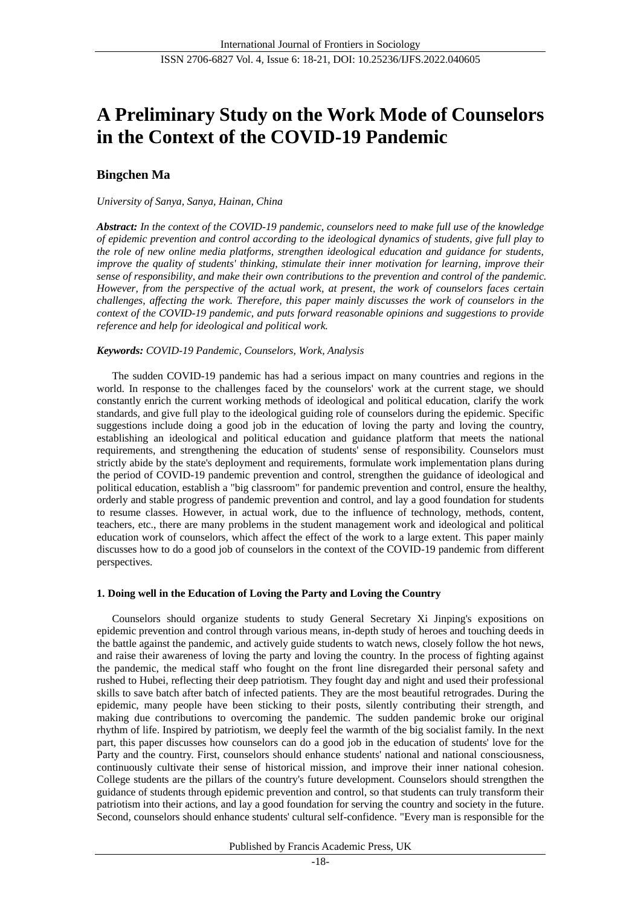# **A Preliminary Study on the Work Mode of Counselors in the Context of the COVID-19 Pandemic**

# **Bingchen Ma**

# *University of Sanya, Sanya, Hainan, China*

*Abstract: In the context of the COVID-19 pandemic, counselors need to make full use of the knowledge of epidemic prevention and control according to the ideological dynamics of students, give full play to the role of new online media platforms, strengthen ideological education and guidance for students, improve the quality of students' thinking, stimulate their inner motivation for learning, improve their sense of responsibility, and make their own contributions to the prevention and control of the pandemic. However, from the perspective of the actual work, at present, the work of counselors faces certain challenges, affecting the work. Therefore, this paper mainly discusses the work of counselors in the context of the COVID-19 pandemic, and puts forward reasonable opinions and suggestions to provide reference and help for ideological and political work.* 

# *Keywords: COVID-19 Pandemic, Counselors, Work, Analysis*

The sudden COVID-19 pandemic has had a serious impact on many countries and regions in the world. In response to the challenges faced by the counselors' work at the current stage, we should constantly enrich the current working methods of ideological and political education, clarify the work standards, and give full play to the ideological guiding role of counselors during the epidemic. Specific suggestions include doing a good job in the education of loving the party and loving the country, establishing an ideological and political education and guidance platform that meets the national requirements, and strengthening the education of students' sense of responsibility. Counselors must strictly abide by the state's deployment and requirements, formulate work implementation plans during the period of COVID-19 pandemic prevention and control, strengthen the guidance of ideological and political education, establish a "big classroom" for pandemic prevention and control, ensure the healthy, orderly and stable progress of pandemic prevention and control, and lay a good foundation for students to resume classes. However, in actual work, due to the influence of technology, methods, content, teachers, etc., there are many problems in the student management work and ideological and political education work of counselors, which affect the effect of the work to a large extent. This paper mainly discusses how to do a good job of counselors in the context of the COVID-19 pandemic from different perspectives.

# **1. Doing well in the Education of Loving the Party and Loving the Country**

Counselors should organize students to study General Secretary Xi Jinping's expositions on epidemic prevention and control through various means, in-depth study of heroes and touching deeds in the battle against the pandemic, and actively guide students to watch news, closely follow the hot news, and raise their awareness of loving the party and loving the country. In the process of fighting against the pandemic, the medical staff who fought on the front line disregarded their personal safety and rushed to Hubei, reflecting their deep patriotism. They fought day and night and used their professional skills to save batch after batch of infected patients. They are the most beautiful retrogrades. During the epidemic, many people have been sticking to their posts, silently contributing their strength, and making due contributions to overcoming the pandemic. The sudden pandemic broke our original rhythm of life. Inspired by patriotism, we deeply feel the warmth of the big socialist family. In the next part, this paper discusses how counselors can do a good job in the education of students' love for the Party and the country. First, counselors should enhance students' national and national consciousness, continuously cultivate their sense of historical mission, and improve their inner national cohesion. College students are the pillars of the country's future development. Counselors should strengthen the guidance of students through epidemic prevention and control, so that students can truly transform their patriotism into their actions, and lay a good foundation for serving the country and society in the future. Second, counselors should enhance students' cultural self-confidence. "Every man is responsible for the

Published by Francis Academic Press, UK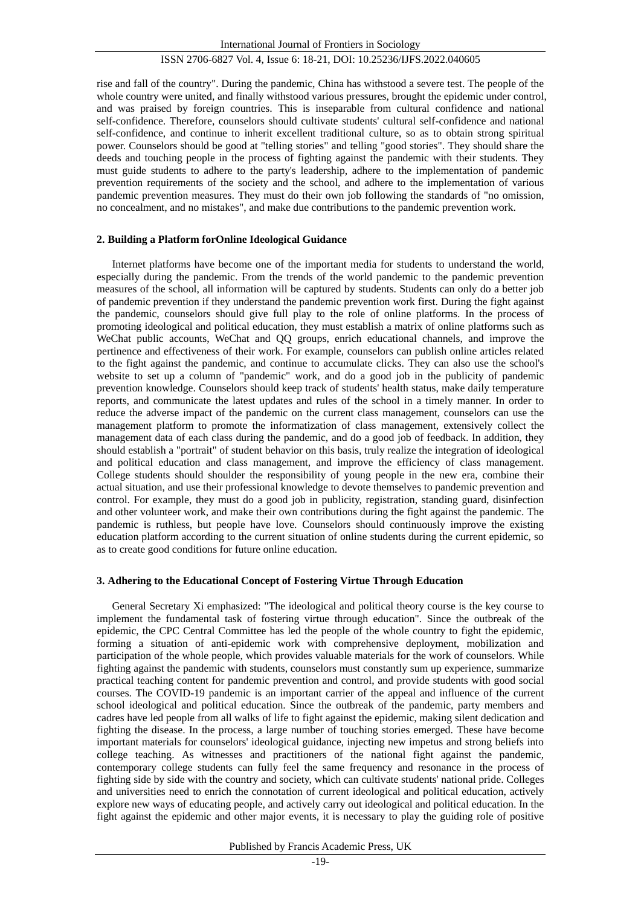# ISSN 2706-6827 Vol. 4, Issue 6: 18-21, DOI: 10.25236/IJFS.2022.040605

rise and fall of the country". During the pandemic, China has withstood a severe test. The people of the whole country were united, and finally withstood various pressures, brought the epidemic under control, and was praised by foreign countries. This is inseparable from cultural confidence and national self-confidence. Therefore, counselors should cultivate students' cultural self-confidence and national self-confidence, and continue to inherit excellent traditional culture, so as to obtain strong spiritual power. Counselors should be good at "telling stories" and telling "good stories". They should share the deeds and touching people in the process of fighting against the pandemic with their students. They must guide students to adhere to the party's leadership, adhere to the implementation of pandemic prevention requirements of the society and the school, and adhere to the implementation of various pandemic prevention measures. They must do their own job following the standards of "no omission, no concealment, and no mistakes", and make due contributions to the pandemic prevention work.

#### **2. Building a Platform forOnline Ideological Guidance**

Internet platforms have become one of the important media for students to understand the world, especially during the pandemic. From the trends of the world pandemic to the pandemic prevention measures of the school, all information will be captured by students. Students can only do a better job of pandemic prevention if they understand the pandemic prevention work first. During the fight against the pandemic, counselors should give full play to the role of online platforms. In the process of promoting ideological and political education, they must establish a matrix of online platforms such as WeChat public accounts, WeChat and QQ groups, enrich educational channels, and improve the pertinence and effectiveness of their work. For example, counselors can publish online articles related to the fight against the pandemic, and continue to accumulate clicks. They can also use the school's website to set up a column of "pandemic" work, and do a good job in the publicity of pandemic prevention knowledge. Counselors should keep track of students' health status, make daily temperature reports, and communicate the latest updates and rules of the school in a timely manner. In order to reduce the adverse impact of the pandemic on the current class management, counselors can use the management platform to promote the informatization of class management, extensively collect the management data of each class during the pandemic, and do a good job of feedback. In addition, they should establish a "portrait" of student behavior on this basis, truly realize the integration of ideological and political education and class management, and improve the efficiency of class management. College students should shoulder the responsibility of young people in the new era, combine their actual situation, and use their professional knowledge to devote themselves to pandemic prevention and control. For example, they must do a good job in publicity, registration, standing guard, disinfection and other volunteer work, and make their own contributions during the fight against the pandemic. The pandemic is ruthless, but people have love. Counselors should continuously improve the existing education platform according to the current situation of online students during the current epidemic, so as to create good conditions for future online education.

# **3. Adhering to the Educational Concept of Fostering Virtue Through Education**

General Secretary Xi emphasized: "The ideological and political theory course is the key course to implement the fundamental task of fostering virtue through education". Since the outbreak of the epidemic, the CPC Central Committee has led the people of the whole country to fight the epidemic, forming a situation of anti-epidemic work with comprehensive deployment, mobilization and participation of the whole people, which provides valuable materials for the work of counselors. While fighting against the pandemic with students, counselors must constantly sum up experience, summarize practical teaching content for pandemic prevention and control, and provide students with good social courses. The COVID-19 pandemic is an important carrier of the appeal and influence of the current school ideological and political education. Since the outbreak of the pandemic, party members and cadres have led people from all walks of life to fight against the epidemic, making silent dedication and fighting the disease. In the process, a large number of touching stories emerged. These have become important materials for counselors' ideological guidance, injecting new impetus and strong beliefs into college teaching. As witnesses and practitioners of the national fight against the pandemic, contemporary college students can fully feel the same frequency and resonance in the process of fighting side by side with the country and society, which can cultivate students' national pride. Colleges and universities need to enrich the connotation of current ideological and political education, actively explore new ways of educating people, and actively carry out ideological and political education. In the fight against the epidemic and other major events, it is necessary to play the guiding role of positive

Published by Francis Academic Press, UK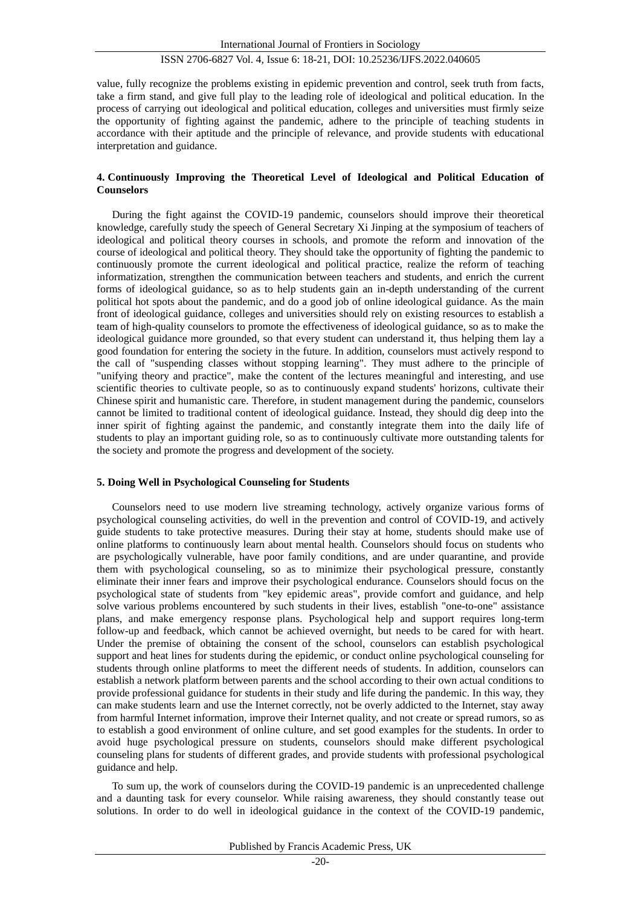#### ISSN 2706-6827 Vol. 4, Issue 6: 18-21, DOI: 10.25236/IJFS.2022.040605

value, fully recognize the problems existing in epidemic prevention and control, seek truth from facts, take a firm stand, and give full play to the leading role of ideological and political education. In the process of carrying out ideological and political education, colleges and universities must firmly seize the opportunity of fighting against the pandemic, adhere to the principle of teaching students in accordance with their aptitude and the principle of relevance, and provide students with educational interpretation and guidance.

#### **4. Continuously Improving the Theoretical Level of Ideological and Political Education of Counselors**

During the fight against the COVID-19 pandemic, counselors should improve their theoretical knowledge, carefully study the speech of General Secretary Xi Jinping at the symposium of teachers of ideological and political theory courses in schools, and promote the reform and innovation of the course of ideological and political theory. They should take the opportunity of fighting the pandemic to continuously promote the current ideological and political practice, realize the reform of teaching informatization, strengthen the communication between teachers and students, and enrich the current forms of ideological guidance, so as to help students gain an in-depth understanding of the current political hot spots about the pandemic, and do a good job of online ideological guidance. As the main front of ideological guidance, colleges and universities should rely on existing resources to establish a team of high-quality counselors to promote the effectiveness of ideological guidance, so as to make the ideological guidance more grounded, so that every student can understand it, thus helping them lay a good foundation for entering the society in the future. In addition, counselors must actively respond to the call of "suspending classes without stopping learning". They must adhere to the principle of "unifying theory and practice", make the content of the lectures meaningful and interesting, and use scientific theories to cultivate people, so as to continuously expand students' horizons, cultivate their Chinese spirit and humanistic care. Therefore, in student management during the pandemic, counselors cannot be limited to traditional content of ideological guidance. Instead, they should dig deep into the inner spirit of fighting against the pandemic, and constantly integrate them into the daily life of students to play an important guiding role, so as to continuously cultivate more outstanding talents for the society and promote the progress and development of the society.

### **5. Doing Well in Psychological Counseling for Students**

Counselors need to use modern live streaming technology, actively organize various forms of psychological counseling activities, do well in the prevention and control of COVID-19, and actively guide students to take protective measures. During their stay at home, students should make use of online platforms to continuously learn about mental health. Counselors should focus on students who are psychologically vulnerable, have poor family conditions, and are under quarantine, and provide them with psychological counseling, so as to minimize their psychological pressure, constantly eliminate their inner fears and improve their psychological endurance. Counselors should focus on the psychological state of students from "key epidemic areas", provide comfort and guidance, and help solve various problems encountered by such students in their lives, establish "one-to-one" assistance plans, and make emergency response plans. Psychological help and support requires long-term follow-up and feedback, which cannot be achieved overnight, but needs to be cared for with heart. Under the premise of obtaining the consent of the school, counselors can establish psychological support and heat lines for students during the epidemic, or conduct online psychological counseling for students through online platforms to meet the different needs of students. In addition, counselors can establish a network platform between parents and the school according to their own actual conditions to provide professional guidance for students in their study and life during the pandemic. In this way, they can make students learn and use the Internet correctly, not be overly addicted to the Internet, stay away from harmful Internet information, improve their Internet quality, and not create or spread rumors, so as to establish a good environment of online culture, and set good examples for the students. In order to avoid huge psychological pressure on students, counselors should make different psychological counseling plans for students of different grades, and provide students with professional psychological guidance and help.

To sum up, the work of counselors during the COVID-19 pandemic is an unprecedented challenge and a daunting task for every counselor. While raising awareness, they should constantly tease out solutions. In order to do well in ideological guidance in the context of the COVID-19 pandemic,

Published by Francis Academic Press, UK